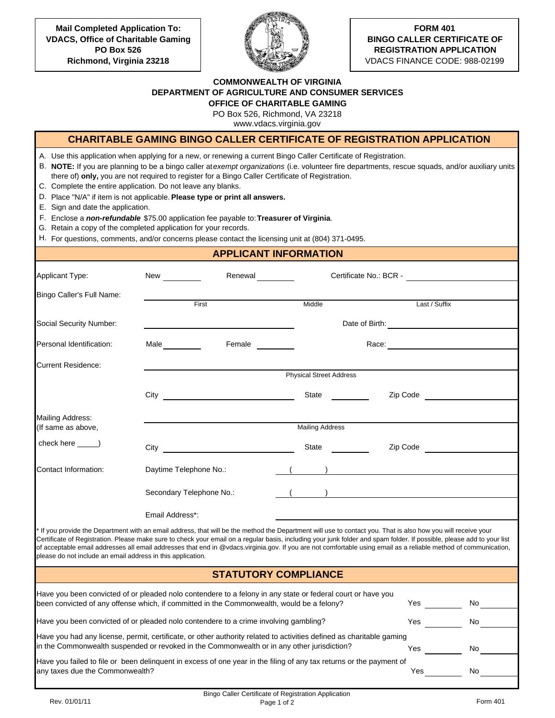**Mail Completed Application To: VDACS, Office of Charitable Gaming PO Box 526 Richmond, Virginia 23218**



## **FORM 401 BINGO CALLER CERTIFICATE OF REGISTRATION APPLICATION**

VDACS FINANCE CODE: 988-02199

## **COMMONWEALTH OF VIRGINIA DEPARTMENT OF AGRICULTURE AND CONSUMER SERVICES**

**OFFICE OF CHARITABLE GAMING**

PO Box 526, Richmond, VA 23218

www.vdacs.virginia.gov

|                                                                                                                                                                                                                                                                                                                                                                                                                                                                                                                                                                       |                                       |                                                                                                  |                                | CHARITABLE GAMING BINGO CALLER CERTIFICATE OF REGISTRATION APPLICATION                                                                                        |    |
|-----------------------------------------------------------------------------------------------------------------------------------------------------------------------------------------------------------------------------------------------------------------------------------------------------------------------------------------------------------------------------------------------------------------------------------------------------------------------------------------------------------------------------------------------------------------------|---------------------------------------|--------------------------------------------------------------------------------------------------|--------------------------------|---------------------------------------------------------------------------------------------------------------------------------------------------------------|----|
| A. Use this application when applying for a new, or renewing a current Bingo Caller Certificate of Registration.<br>C. Complete the entire application. Do not leave any blanks.<br>D. Place "N/A" if item is not applicable. Please type or print all answers.<br>E. Sign and date the application.<br>F. Enclose a non-refundable \$75.00 application fee payable to: Treasurer of Virginia.<br>G. Retain a copy of the completed application for your records.<br>H. For questions, comments, and/or concerns please contact the licensing unit at (804) 371-0495. |                                       | there of) only, you are not required to register for a Bingo Caller Certificate of Registration. |                                | B. NOTE: If you are planning to be a bingo caller at exempt organizations (i.e. volunteer fire departments, rescue squads, and/or auxiliary units             |    |
|                                                                                                                                                                                                                                                                                                                                                                                                                                                                                                                                                                       |                                       | <b>APPLICANT INFORMATION</b>                                                                     |                                |                                                                                                                                                               |    |
| Applicant Type:                                                                                                                                                                                                                                                                                                                                                                                                                                                                                                                                                       | Renewal<br><u> </u><br>New __________ |                                                                                                  | Certificate No.: BCR -         |                                                                                                                                                               |    |
| Bingo Caller's Full Name:                                                                                                                                                                                                                                                                                                                                                                                                                                                                                                                                             |                                       | First                                                                                            | Middle                         | Last / Suffix                                                                                                                                                 |    |
| Social Security Number:                                                                                                                                                                                                                                                                                                                                                                                                                                                                                                                                               |                                       |                                                                                                  |                                |                                                                                                                                                               |    |
| Personal Identification:                                                                                                                                                                                                                                                                                                                                                                                                                                                                                                                                              | Male                                  | Female                                                                                           |                                |                                                                                                                                                               |    |
| <b>Current Residence:</b>                                                                                                                                                                                                                                                                                                                                                                                                                                                                                                                                             |                                       |                                                                                                  |                                |                                                                                                                                                               |    |
|                                                                                                                                                                                                                                                                                                                                                                                                                                                                                                                                                                       |                                       |                                                                                                  | <b>Physical Street Address</b> |                                                                                                                                                               |    |
|                                                                                                                                                                                                                                                                                                                                                                                                                                                                                                                                                                       |                                       |                                                                                                  | State                          |                                                                                                                                                               |    |
| <b>Mailing Address:</b><br>(If same as above,                                                                                                                                                                                                                                                                                                                                                                                                                                                                                                                         |                                       |                                                                                                  | <b>Mailing Address</b>         |                                                                                                                                                               |    |
| check here ______)                                                                                                                                                                                                                                                                                                                                                                                                                                                                                                                                                    | $City$ <sub>__</sub>                  |                                                                                                  | State <b>State</b>             |                                                                                                                                                               |    |
| Contact Information:                                                                                                                                                                                                                                                                                                                                                                                                                                                                                                                                                  | Daytime Telephone No.:                |                                                                                                  |                                | $\left(\begin{array}{cc} \frac{1}{2} & \frac{1}{2} \\ \frac{1}{2} & \frac{1}{2} \\ \frac{1}{2} & \frac{1}{2} \\ \frac{1}{2} & \frac{1}{2} \end{array}\right)$ |    |
|                                                                                                                                                                                                                                                                                                                                                                                                                                                                                                                                                                       | Secondary Telephone No.:              |                                                                                                  |                                | <u> 1989 - John Stein, Amerikaansk politiker (</u>                                                                                                            |    |
|                                                                                                                                                                                                                                                                                                                                                                                                                                                                                                                                                                       | Email Address*:                       |                                                                                                  |                                |                                                                                                                                                               |    |
| Certificate of Registration. Please make sure to check your email on a regular basis, including your junk folder and spam folder. If possible, please add to your list<br>of acceptable email addresses all email addresses that end in @vdacs.virginia.gov. If you are not comfortable using email as a reliable method of communication,<br>please do not include an email address in this application.                                                                                                                                                             |                                       |                                                                                                  |                                | If you provide the Department with an email address, that will be the method the Department will use to contact you. That is also how you will receive your   |    |
|                                                                                                                                                                                                                                                                                                                                                                                                                                                                                                                                                                       |                                       | <b>STATUTORY COMPLIANCE</b>                                                                      |                                |                                                                                                                                                               |    |
| Have you been convicted of or pleaded nolo contendere to a felony in any state or federal court or have you<br>been convicted of any offense which, if committed in the Commonwealth, would be a felony?                                                                                                                                                                                                                                                                                                                                                              |                                       |                                                                                                  |                                | Yes                                                                                                                                                           | No |
| Have you been convicted of or pleaded nolo contendere to a crime involving gambling?                                                                                                                                                                                                                                                                                                                                                                                                                                                                                  |                                       |                                                                                                  |                                | Yes                                                                                                                                                           | No |
| Have you had any license, permit, certificate, or other authority related to activities defined as charitable gaming<br>in the Commonwealth suspended or revoked in the Commonwealth or in any other jurisdiction?                                                                                                                                                                                                                                                                                                                                                    |                                       |                                                                                                  |                                | Yes                                                                                                                                                           | No |
| Have you failed to file or been delinquent in excess of one year in the filing of any tax returns or the payment of                                                                                                                                                                                                                                                                                                                                                                                                                                                   |                                       |                                                                                                  |                                |                                                                                                                                                               |    |

Bingo Caller Certificate of Registration Application Page 1 of 2 Form 401

any taxes due the Commonwealth?

Yes No